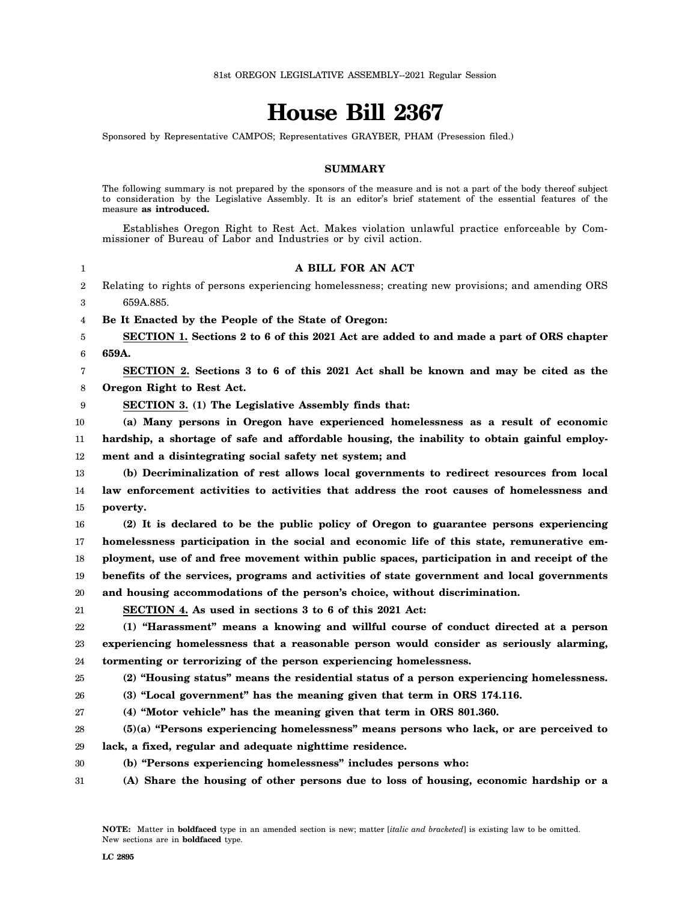# **House Bill 2367**

Sponsored by Representative CAMPOS; Representatives GRAYBER, PHAM (Presession filed.)

## **SUMMARY**

The following summary is not prepared by the sponsors of the measure and is not a part of the body thereof subject to consideration by the Legislative Assembly. It is an editor's brief statement of the essential features of the measure **as introduced.**

Establishes Oregon Right to Rest Act. Makes violation unlawful practice enforceable by Commissioner of Bureau of Labor and Industries or by civil action.

1 2 3 **A BILL FOR AN ACT** Relating to rights of persons experiencing homelessness; creating new provisions; and amending ORS 659A.885.

4 **Be It Enacted by the People of the State of Oregon:**

5 6 **SECTION 1. Sections 2 to 6 of this 2021 Act are added to and made a part of ORS chapter 659A.**

7 8 **SECTION 2. Sections 3 to 6 of this 2021 Act shall be known and may be cited as the Oregon Right to Rest Act.**

9 **SECTION 3. (1) The Legislative Assembly finds that:**

10 11 **(a) Many persons in Oregon have experienced homelessness as a result of economic hardship, a shortage of safe and affordable housing, the inability to obtain gainful employ-**

12 **ment and a disintegrating social safety net system; and**

13 14 15 **(b) Decriminalization of rest allows local governments to redirect resources from local law enforcement activities to activities that address the root causes of homelessness and poverty.**

16 17 18 19 20 **(2) It is declared to be the public policy of Oregon to guarantee persons experiencing homelessness participation in the social and economic life of this state, remunerative employment, use of and free movement within public spaces, participation in and receipt of the benefits of the services, programs and activities of state government and local governments and housing accommodations of the person's choice, without discrimination.**

21 **SECTION 4. As used in sections 3 to 6 of this 2021 Act:**

22 23 24 **(1) "Harassment" means a knowing and willful course of conduct directed at a person experiencing homelessness that a reasonable person would consider as seriously alarming, tormenting or terrorizing of the person experiencing homelessness.**

25 **(2) "Housing status" means the residential status of a person experiencing homelessness.**

26 **(3) "Local government" has the meaning given that term in ORS 174.116.**

27 **(4) "Motor vehicle" has the meaning given that term in ORS 801.360.**

28 29 **(5)(a) "Persons experiencing homelessness" means persons who lack, or are perceived to lack, a fixed, regular and adequate nighttime residence.**

- 30 **(b) "Persons experiencing homelessness" includes persons who:**
- 31 **(A) Share the housing of other persons due to loss of housing, economic hardship or a**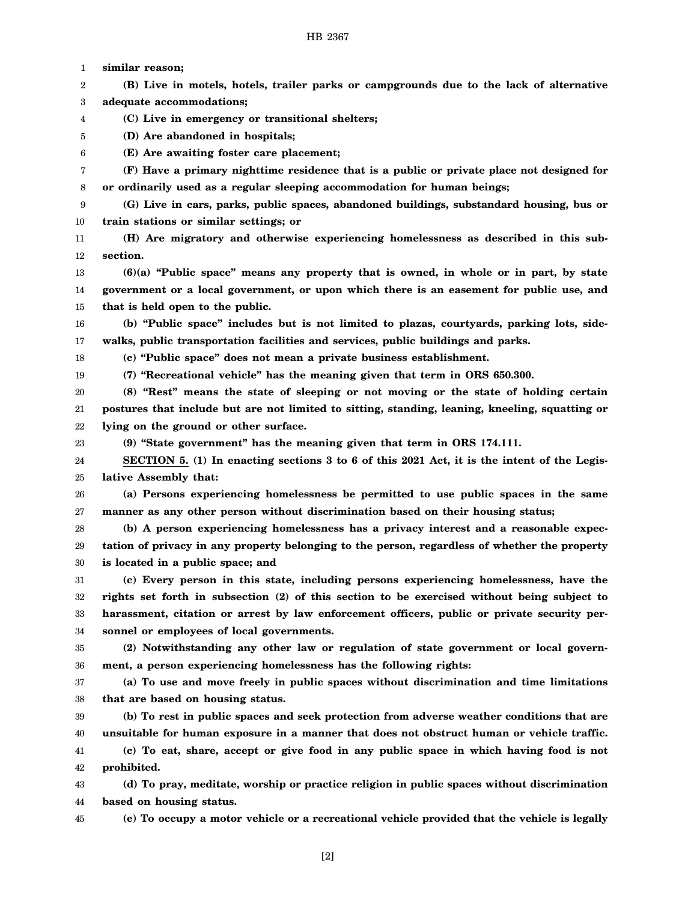1 **similar reason;**

2 3 **(B) Live in motels, hotels, trailer parks or campgrounds due to the lack of alternative adequate accommodations;**

- 4 **(C) Live in emergency or transitional shelters;**
- 5 **(D) Are abandoned in hospitals;**

6 **(E) Are awaiting foster care placement;**

7 8 **(F) Have a primary nighttime residence that is a public or private place not designed for or ordinarily used as a regular sleeping accommodation for human beings;**

9 10 **(G) Live in cars, parks, public spaces, abandoned buildings, substandard housing, bus or train stations or similar settings; or**

11 12 **(H) Are migratory and otherwise experiencing homelessness as described in this subsection.**

13 14 15 **(6)(a) "Public space" means any property that is owned, in whole or in part, by state government or a local government, or upon which there is an easement for public use, and that is held open to the public.**

16 17 **(b) "Public space" includes but is not limited to plazas, courtyards, parking lots, sidewalks, public transportation facilities and services, public buildings and parks.**

18 **(c) "Public space" does not mean a private business establishment.**

19

23

**(7) "Recreational vehicle" has the meaning given that term in ORS 650.300.**

20 21 22 **(8) "Rest" means the state of sleeping or not moving or the state of holding certain postures that include but are not limited to sitting, standing, leaning, kneeling, squatting or lying on the ground or other surface.**

**(9) "State government" has the meaning given that term in ORS 174.111.**

24 25 **SECTION 5. (1) In enacting sections 3 to 6 of this 2021 Act, it is the intent of the Legislative Assembly that:**

26 27 **(a) Persons experiencing homelessness be permitted to use public spaces in the same manner as any other person without discrimination based on their housing status;**

28 29 30 **(b) A person experiencing homelessness has a privacy interest and a reasonable expectation of privacy in any property belonging to the person, regardless of whether the property is located in a public space; and**

31 32 33 34 **(c) Every person in this state, including persons experiencing homelessness, have the rights set forth in subsection (2) of this section to be exercised without being subject to harassment, citation or arrest by law enforcement officers, public or private security personnel or employees of local governments.**

35 36 **(2) Notwithstanding any other law or regulation of state government or local government, a person experiencing homelessness has the following rights:**

37 38 **(a) To use and move freely in public spaces without discrimination and time limitations that are based on housing status.**

39 40 41 **(b) To rest in public spaces and seek protection from adverse weather conditions that are unsuitable for human exposure in a manner that does not obstruct human or vehicle traffic. (c) To eat, share, accept or give food in any public space in which having food is not**

42 **prohibited.**

43 44 **(d) To pray, meditate, worship or practice religion in public spaces without discrimination based on housing status.**

45

**(e) To occupy a motor vehicle or a recreational vehicle provided that the vehicle is legally**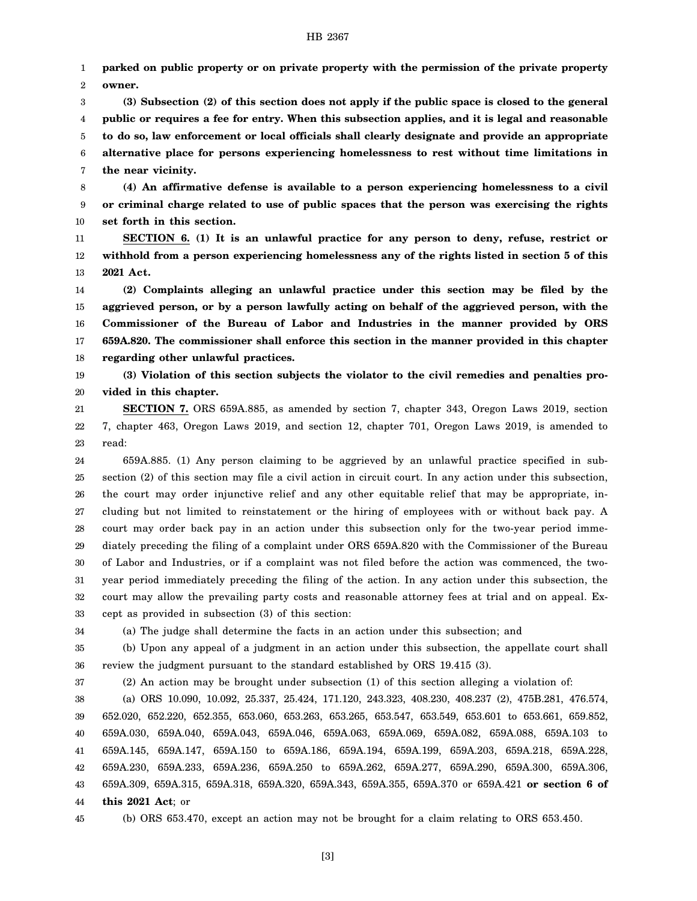1 2 **parked on public property or on private property with the permission of the private property owner.**

3 4 5 6 7 **(3) Subsection (2) of this section does not apply if the public space is closed to the general public or requires a fee for entry. When this subsection applies, and it is legal and reasonable to do so, law enforcement or local officials shall clearly designate and provide an appropriate alternative place for persons experiencing homelessness to rest without time limitations in the near vicinity.**

8 9 10 **(4) An affirmative defense is available to a person experiencing homelessness to a civil or criminal charge related to use of public spaces that the person was exercising the rights set forth in this section.**

11 12 13 **SECTION 6. (1) It is an unlawful practice for any person to deny, refuse, restrict or withhold from a person experiencing homelessness any of the rights listed in section 5 of this 2021 Act.**

14 15 16 17 18 **(2) Complaints alleging an unlawful practice under this section may be filed by the aggrieved person, or by a person lawfully acting on behalf of the aggrieved person, with the Commissioner of the Bureau of Labor and Industries in the manner provided by ORS 659A.820. The commissioner shall enforce this section in the manner provided in this chapter regarding other unlawful practices.**

19 20 **(3) Violation of this section subjects the violator to the civil remedies and penalties provided in this chapter.**

21 22 23 **SECTION 7.** ORS 659A.885, as amended by section 7, chapter 343, Oregon Laws 2019, section 7, chapter 463, Oregon Laws 2019, and section 12, chapter 701, Oregon Laws 2019, is amended to read:

24 25 26 27 28 29 30 31 32 33 659A.885. (1) Any person claiming to be aggrieved by an unlawful practice specified in subsection (2) of this section may file a civil action in circuit court. In any action under this subsection, the court may order injunctive relief and any other equitable relief that may be appropriate, including but not limited to reinstatement or the hiring of employees with or without back pay. A court may order back pay in an action under this subsection only for the two-year period immediately preceding the filing of a complaint under ORS 659A.820 with the Commissioner of the Bureau of Labor and Industries, or if a complaint was not filed before the action was commenced, the twoyear period immediately preceding the filing of the action. In any action under this subsection, the court may allow the prevailing party costs and reasonable attorney fees at trial and on appeal. Except as provided in subsection (3) of this section:

34

(a) The judge shall determine the facts in an action under this subsection; and

35 36 (b) Upon any appeal of a judgment in an action under this subsection, the appellate court shall review the judgment pursuant to the standard established by ORS 19.415 (3).

37

(2) An action may be brought under subsection (1) of this section alleging a violation of:

38 39 40 41 42 43 44 (a) ORS 10.090, 10.092, 25.337, 25.424, 171.120, 243.323, 408.230, 408.237 (2), 475B.281, 476.574, 652.020, 652.220, 652.355, 653.060, 653.263, 653.265, 653.547, 653.549, 653.601 to 653.661, 659.852, 659A.030, 659A.040, 659A.043, 659A.046, 659A.063, 659A.069, 659A.082, 659A.088, 659A.103 to 659A.145, 659A.147, 659A.150 to 659A.186, 659A.194, 659A.199, 659A.203, 659A.218, 659A.228, 659A.230, 659A.233, 659A.236, 659A.250 to 659A.262, 659A.277, 659A.290, 659A.300, 659A.306, 659A.309, 659A.315, 659A.318, 659A.320, 659A.343, 659A.355, 659A.370 or 659A.421 **or section 6 of this 2021 Act**; or

45

(b) ORS 653.470, except an action may not be brought for a claim relating to ORS 653.450.

[3]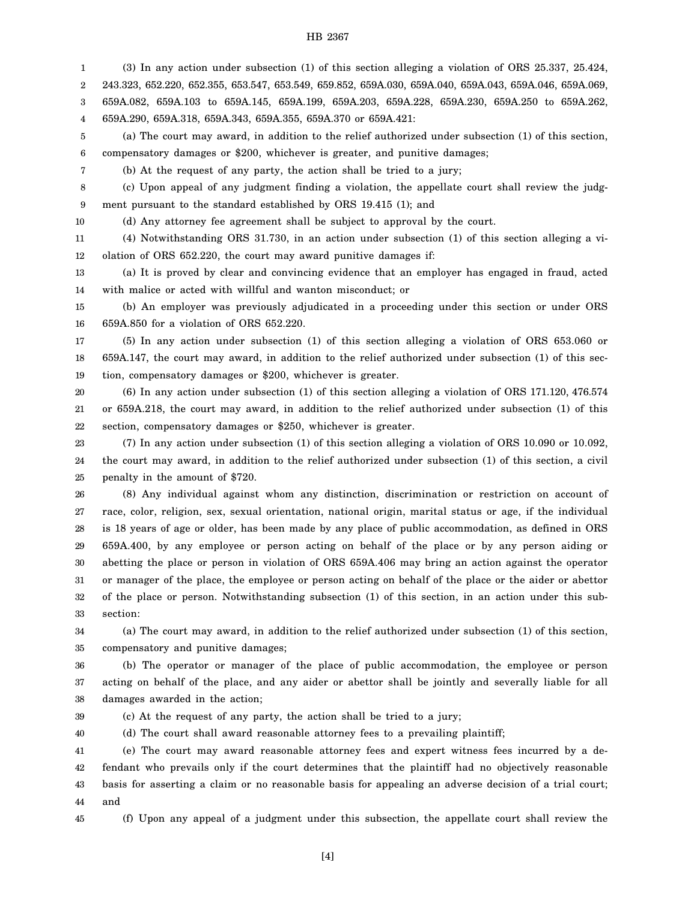1 2 3 4 (3) In any action under subsection (1) of this section alleging a violation of ORS 25.337, 25.424, 243.323, 652.220, 652.355, 653.547, 653.549, 659.852, 659A.030, 659A.040, 659A.043, 659A.046, 659A.069, 659A.082, 659A.103 to 659A.145, 659A.199, 659A.203, 659A.228, 659A.230, 659A.250 to 659A.262, 659A.290, 659A.318, 659A.343, 659A.355, 659A.370 or 659A.421:

5 6 (a) The court may award, in addition to the relief authorized under subsection (1) of this section, compensatory damages or \$200, whichever is greater, and punitive damages;

(b) At the request of any party, the action shall be tried to a jury;

8 9 (c) Upon appeal of any judgment finding a violation, the appellate court shall review the judgment pursuant to the standard established by ORS 19.415 (1); and

10

7

11 12 (4) Notwithstanding ORS 31.730, in an action under subsection (1) of this section alleging a violation of ORS 652.220, the court may award punitive damages if:

(d) Any attorney fee agreement shall be subject to approval by the court.

13 14 (a) It is proved by clear and convincing evidence that an employer has engaged in fraud, acted with malice or acted with willful and wanton misconduct; or

15 16 (b) An employer was previously adjudicated in a proceeding under this section or under ORS 659A.850 for a violation of ORS 652.220.

17 18 19 (5) In any action under subsection (1) of this section alleging a violation of ORS 653.060 or 659A.147, the court may award, in addition to the relief authorized under subsection (1) of this section, compensatory damages or \$200, whichever is greater.

20 21 22 (6) In any action under subsection (1) of this section alleging a violation of ORS 171.120, 476.574 or 659A.218, the court may award, in addition to the relief authorized under subsection (1) of this section, compensatory damages or \$250, whichever is greater.

23 24 25 (7) In any action under subsection (1) of this section alleging a violation of ORS 10.090 or 10.092, the court may award, in addition to the relief authorized under subsection (1) of this section, a civil penalty in the amount of \$720.

26 27 28 29 30 31 32 33 (8) Any individual against whom any distinction, discrimination or restriction on account of race, color, religion, sex, sexual orientation, national origin, marital status or age, if the individual is 18 years of age or older, has been made by any place of public accommodation, as defined in ORS 659A.400, by any employee or person acting on behalf of the place or by any person aiding or abetting the place or person in violation of ORS 659A.406 may bring an action against the operator or manager of the place, the employee or person acting on behalf of the place or the aider or abettor of the place or person. Notwithstanding subsection (1) of this section, in an action under this subsection:

34 35 (a) The court may award, in addition to the relief authorized under subsection (1) of this section, compensatory and punitive damages;

36 37 38 (b) The operator or manager of the place of public accommodation, the employee or person acting on behalf of the place, and any aider or abettor shall be jointly and severally liable for all damages awarded in the action;

39

(c) At the request of any party, the action shall be tried to a jury;

40 (d) The court shall award reasonable attorney fees to a prevailing plaintiff;

41 42 43 44 (e) The court may award reasonable attorney fees and expert witness fees incurred by a defendant who prevails only if the court determines that the plaintiff had no objectively reasonable basis for asserting a claim or no reasonable basis for appealing an adverse decision of a trial court; and

45 (f) Upon any appeal of a judgment under this subsection, the appellate court shall review the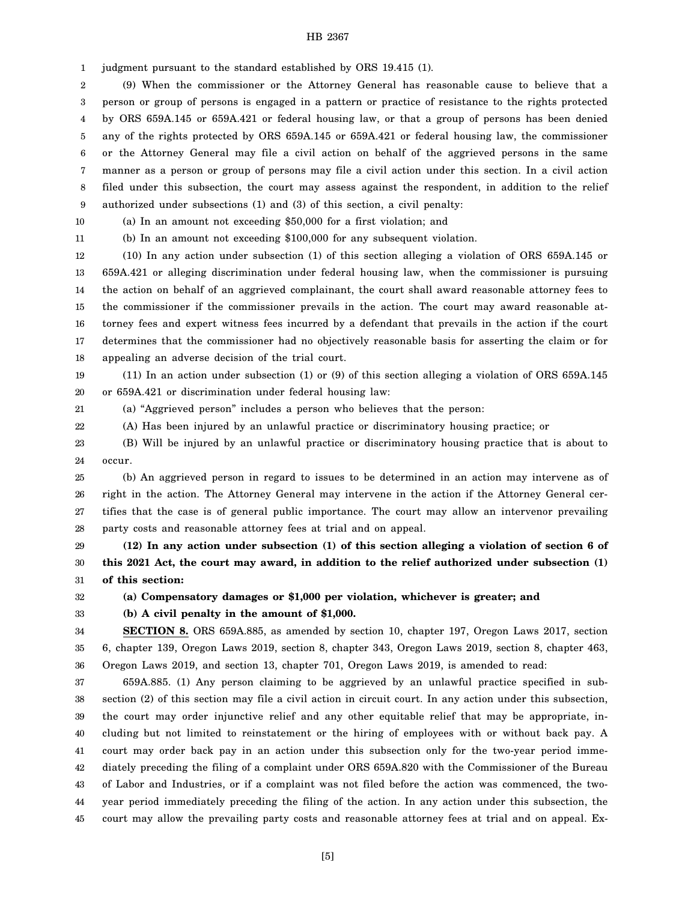1 judgment pursuant to the standard established by ORS 19.415 (1).

2 3 4 5 6 7 8 9 (9) When the commissioner or the Attorney General has reasonable cause to believe that a person or group of persons is engaged in a pattern or practice of resistance to the rights protected by ORS 659A.145 or 659A.421 or federal housing law, or that a group of persons has been denied any of the rights protected by ORS 659A.145 or 659A.421 or federal housing law, the commissioner or the Attorney General may file a civil action on behalf of the aggrieved persons in the same manner as a person or group of persons may file a civil action under this section. In a civil action filed under this subsection, the court may assess against the respondent, in addition to the relief authorized under subsections (1) and (3) of this section, a civil penalty:

(a) In an amount not exceeding \$50,000 for a first violation; and

10 11

32 33 (b) In an amount not exceeding \$100,000 for any subsequent violation.

12 13 14 15 16 17 18 (10) In any action under subsection (1) of this section alleging a violation of ORS 659A.145 or 659A.421 or alleging discrimination under federal housing law, when the commissioner is pursuing the action on behalf of an aggrieved complainant, the court shall award reasonable attorney fees to the commissioner if the commissioner prevails in the action. The court may award reasonable attorney fees and expert witness fees incurred by a defendant that prevails in the action if the court determines that the commissioner had no objectively reasonable basis for asserting the claim or for appealing an adverse decision of the trial court.

19 20 (11) In an action under subsection (1) or (9) of this section alleging a violation of ORS 659A.145 or 659A.421 or discrimination under federal housing law:

21 (a) "Aggrieved person" includes a person who believes that the person:

22 (A) Has been injured by an unlawful practice or discriminatory housing practice; or

23 24 (B) Will be injured by an unlawful practice or discriminatory housing practice that is about to occur.

25 26 27 28 (b) An aggrieved person in regard to issues to be determined in an action may intervene as of right in the action. The Attorney General may intervene in the action if the Attorney General certifies that the case is of general public importance. The court may allow an intervenor prevailing party costs and reasonable attorney fees at trial and on appeal.

29 30 31 **(12) In any action under subsection (1) of this section alleging a violation of section 6 of this 2021 Act, the court may award, in addition to the relief authorized under subsection (1) of this section:**

**(a) Compensatory damages or \$1,000 per violation, whichever is greater; and**

**(b) A civil penalty in the amount of \$1,000.**

34 35 36 **SECTION 8.** ORS 659A.885, as amended by section 10, chapter 197, Oregon Laws 2017, section 6, chapter 139, Oregon Laws 2019, section 8, chapter 343, Oregon Laws 2019, section 8, chapter 463, Oregon Laws 2019, and section 13, chapter 701, Oregon Laws 2019, is amended to read:

37 38 39 40 41 42 43 44 45 659A.885. (1) Any person claiming to be aggrieved by an unlawful practice specified in subsection (2) of this section may file a civil action in circuit court. In any action under this subsection, the court may order injunctive relief and any other equitable relief that may be appropriate, including but not limited to reinstatement or the hiring of employees with or without back pay. A court may order back pay in an action under this subsection only for the two-year period immediately preceding the filing of a complaint under ORS 659A.820 with the Commissioner of the Bureau of Labor and Industries, or if a complaint was not filed before the action was commenced, the twoyear period immediately preceding the filing of the action. In any action under this subsection, the court may allow the prevailing party costs and reasonable attorney fees at trial and on appeal. Ex-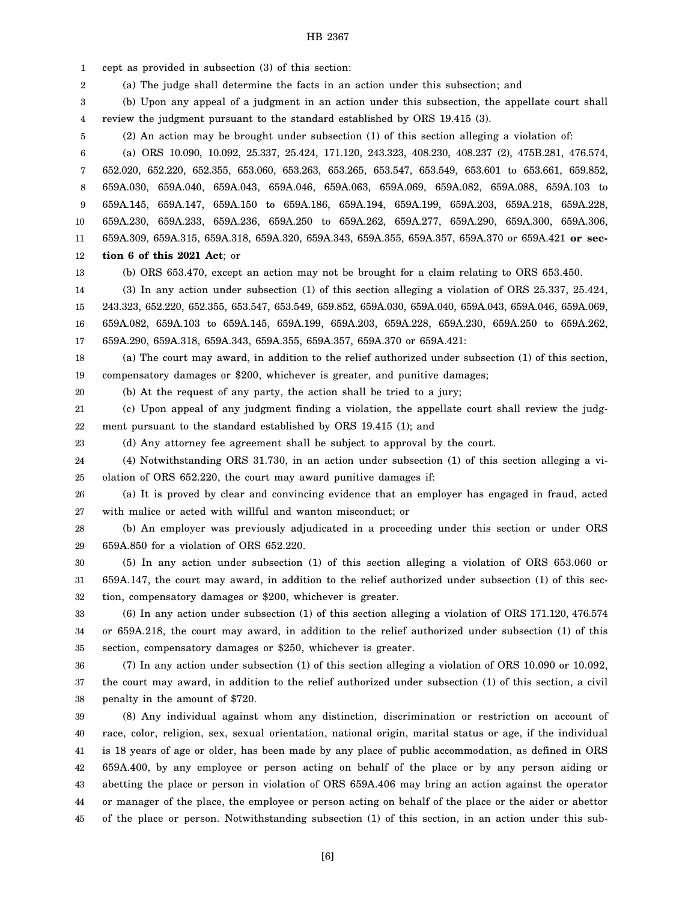1 2 3 4 5 6 7 8 9 10 11 12 13 14 15 16 17 18 19 20 21 22 23 24 25 26 27 28 29 30 31 32 33 34 35 36 37 38 39 40 41 42 43 44 cept as provided in subsection (3) of this section: (a) The judge shall determine the facts in an action under this subsection; and (b) Upon any appeal of a judgment in an action under this subsection, the appellate court shall review the judgment pursuant to the standard established by ORS 19.415 (3). (2) An action may be brought under subsection (1) of this section alleging a violation of: (a) ORS 10.090, 10.092, 25.337, 25.424, 171.120, 243.323, 408.230, 408.237 (2), 475B.281, 476.574, 652.020, 652.220, 652.355, 653.060, 653.263, 653.265, 653.547, 653.549, 653.601 to 653.661, 659.852, 659A.030, 659A.040, 659A.043, 659A.046, 659A.063, 659A.069, 659A.082, 659A.088, 659A.103 to 659A.145, 659A.147, 659A.150 to 659A.186, 659A.194, 659A.199, 659A.203, 659A.218, 659A.228, 659A.230, 659A.233, 659A.236, 659A.250 to 659A.262, 659A.277, 659A.290, 659A.300, 659A.306, 659A.309, 659A.315, 659A.318, 659A.320, 659A.343, 659A.355, 659A.357, 659A.370 or 659A.421 **or section 6 of this 2021 Act**; or (b) ORS 653.470, except an action may not be brought for a claim relating to ORS 653.450. (3) In any action under subsection (1) of this section alleging a violation of ORS 25.337, 25.424, 243.323, 652.220, 652.355, 653.547, 653.549, 659.852, 659A.030, 659A.040, 659A.043, 659A.046, 659A.069, 659A.082, 659A.103 to 659A.145, 659A.199, 659A.203, 659A.228, 659A.230, 659A.250 to 659A.262, 659A.290, 659A.318, 659A.343, 659A.355, 659A.357, 659A.370 or 659A.421: (a) The court may award, in addition to the relief authorized under subsection (1) of this section, compensatory damages or \$200, whichever is greater, and punitive damages; (b) At the request of any party, the action shall be tried to a jury; (c) Upon appeal of any judgment finding a violation, the appellate court shall review the judgment pursuant to the standard established by ORS 19.415 (1); and (d) Any attorney fee agreement shall be subject to approval by the court. (4) Notwithstanding ORS 31.730, in an action under subsection (1) of this section alleging a violation of ORS 652.220, the court may award punitive damages if: (a) It is proved by clear and convincing evidence that an employer has engaged in fraud, acted with malice or acted with willful and wanton misconduct; or (b) An employer was previously adjudicated in a proceeding under this section or under ORS 659A.850 for a violation of ORS 652.220. (5) In any action under subsection (1) of this section alleging a violation of ORS 653.060 or 659A.147, the court may award, in addition to the relief authorized under subsection (1) of this section, compensatory damages or \$200, whichever is greater. (6) In any action under subsection (1) of this section alleging a violation of ORS 171.120, 476.574 or 659A.218, the court may award, in addition to the relief authorized under subsection (1) of this section, compensatory damages or \$250, whichever is greater. (7) In any action under subsection (1) of this section alleging a violation of ORS 10.090 or 10.092, the court may award, in addition to the relief authorized under subsection (1) of this section, a civil penalty in the amount of \$720. (8) Any individual against whom any distinction, discrimination or restriction on account of race, color, religion, sex, sexual orientation, national origin, marital status or age, if the individual is 18 years of age or older, has been made by any place of public accommodation, as defined in ORS 659A.400, by any employee or person acting on behalf of the place or by any person aiding or abetting the place or person in violation of ORS 659A.406 may bring an action against the operator or manager of the place, the employee or person acting on behalf of the place or the aider or abettor

45 of the place or person. Notwithstanding subsection (1) of this section, in an action under this sub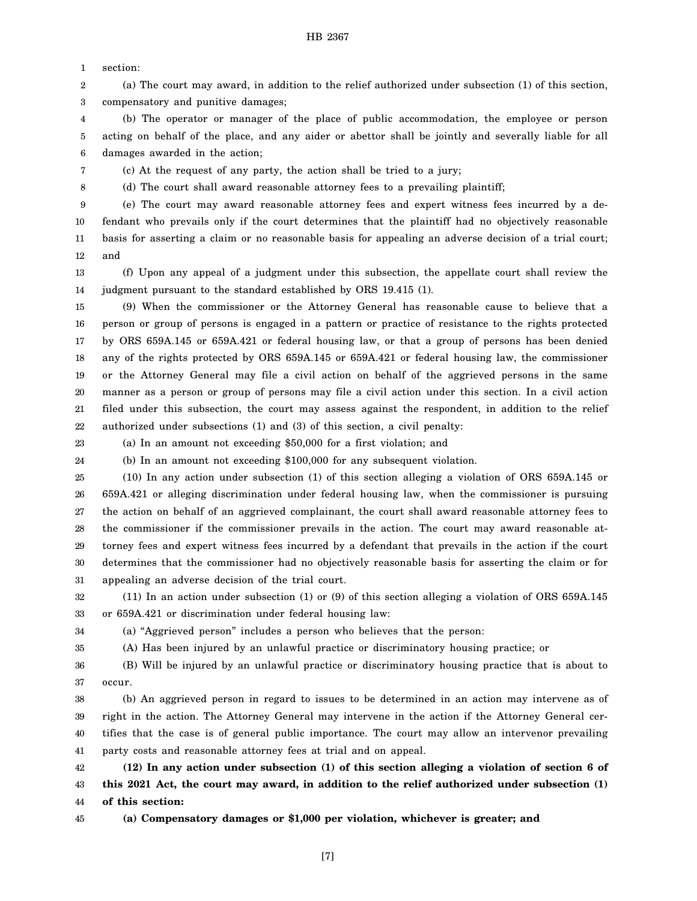1 section:

2 3 (a) The court may award, in addition to the relief authorized under subsection (1) of this section, compensatory and punitive damages;

4 5 6 (b) The operator or manager of the place of public accommodation, the employee or person acting on behalf of the place, and any aider or abettor shall be jointly and severally liable for all damages awarded in the action;

7

8

(c) At the request of any party, the action shall be tried to a jury;

(d) The court shall award reasonable attorney fees to a prevailing plaintiff;

9 10 11 12 (e) The court may award reasonable attorney fees and expert witness fees incurred by a defendant who prevails only if the court determines that the plaintiff had no objectively reasonable basis for asserting a claim or no reasonable basis for appealing an adverse decision of a trial court; and

13 14 (f) Upon any appeal of a judgment under this subsection, the appellate court shall review the judgment pursuant to the standard established by ORS 19.415 (1).

15 16 17 18 19 20 21 22 (9) When the commissioner or the Attorney General has reasonable cause to believe that a person or group of persons is engaged in a pattern or practice of resistance to the rights protected by ORS 659A.145 or 659A.421 or federal housing law, or that a group of persons has been denied any of the rights protected by ORS 659A.145 or 659A.421 or federal housing law, the commissioner or the Attorney General may file a civil action on behalf of the aggrieved persons in the same manner as a person or group of persons may file a civil action under this section. In a civil action filed under this subsection, the court may assess against the respondent, in addition to the relief authorized under subsections (1) and (3) of this section, a civil penalty:

23

(a) In an amount not exceeding \$50,000 for a first violation; and

24 (b) In an amount not exceeding \$100,000 for any subsequent violation.

25 26 27 28 29 30 31 (10) In any action under subsection (1) of this section alleging a violation of ORS 659A.145 or 659A.421 or alleging discrimination under federal housing law, when the commissioner is pursuing the action on behalf of an aggrieved complainant, the court shall award reasonable attorney fees to the commissioner if the commissioner prevails in the action. The court may award reasonable attorney fees and expert witness fees incurred by a defendant that prevails in the action if the court determines that the commissioner had no objectively reasonable basis for asserting the claim or for appealing an adverse decision of the trial court.

32 33 (11) In an action under subsection (1) or (9) of this section alleging a violation of ORS 659A.145 or 659A.421 or discrimination under federal housing law:

34 35 (a) "Aggrieved person" includes a person who believes that the person:

(A) Has been injured by an unlawful practice or discriminatory housing practice; or

36 37 (B) Will be injured by an unlawful practice or discriminatory housing practice that is about to occur.

38 39 40 41 (b) An aggrieved person in regard to issues to be determined in an action may intervene as of right in the action. The Attorney General may intervene in the action if the Attorney General certifies that the case is of general public importance. The court may allow an intervenor prevailing party costs and reasonable attorney fees at trial and on appeal.

42 43 44 **(12) In any action under subsection (1) of this section alleging a violation of section 6 of this 2021 Act, the court may award, in addition to the relief authorized under subsection (1) of this section:**

45

**(a) Compensatory damages or \$1,000 per violation, whichever is greater; and**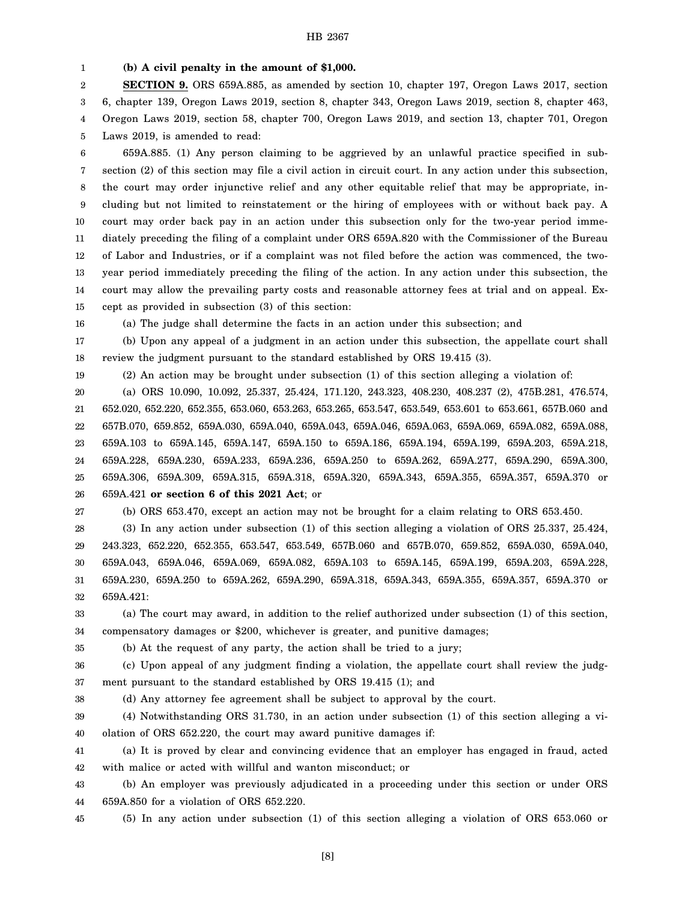1 **(b) A civil penalty in the amount of \$1,000.**

2 3 4 5 **SECTION 9.** ORS 659A.885, as amended by section 10, chapter 197, Oregon Laws 2017, section 6, chapter 139, Oregon Laws 2019, section 8, chapter 343, Oregon Laws 2019, section 8, chapter 463, Oregon Laws 2019, section 58, chapter 700, Oregon Laws 2019, and section 13, chapter 701, Oregon Laws 2019, is amended to read:

6 7 8 9 10 11 12 13 14 15 659A.885. (1) Any person claiming to be aggrieved by an unlawful practice specified in subsection (2) of this section may file a civil action in circuit court. In any action under this subsection, the court may order injunctive relief and any other equitable relief that may be appropriate, including but not limited to reinstatement or the hiring of employees with or without back pay. A court may order back pay in an action under this subsection only for the two-year period immediately preceding the filing of a complaint under ORS 659A.820 with the Commissioner of the Bureau of Labor and Industries, or if a complaint was not filed before the action was commenced, the twoyear period immediately preceding the filing of the action. In any action under this subsection, the court may allow the prevailing party costs and reasonable attorney fees at trial and on appeal. Except as provided in subsection (3) of this section:

(a) The judge shall determine the facts in an action under this subsection; and

17 18 (b) Upon any appeal of a judgment in an action under this subsection, the appellate court shall review the judgment pursuant to the standard established by ORS 19.415 (3).

19

(2) An action may be brought under subsection (1) of this section alleging a violation of:

20 21 22 23 24 25 26 (a) ORS 10.090, 10.092, 25.337, 25.424, 171.120, 243.323, 408.230, 408.237 (2), 475B.281, 476.574, 652.020, 652.220, 652.355, 653.060, 653.263, 653.265, 653.547, 653.549, 653.601 to 653.661, 657B.060 and 657B.070, 659.852, 659A.030, 659A.040, 659A.043, 659A.046, 659A.063, 659A.069, 659A.082, 659A.088, 659A.103 to 659A.145, 659A.147, 659A.150 to 659A.186, 659A.194, 659A.199, 659A.203, 659A.218, 659A.228, 659A.230, 659A.233, 659A.236, 659A.250 to 659A.262, 659A.277, 659A.290, 659A.300, 659A.306, 659A.309, 659A.315, 659A.318, 659A.320, 659A.343, 659A.355, 659A.357, 659A.370 or 659A.421 **or section 6 of this 2021 Act**; or

27

16

(b) ORS 653.470, except an action may not be brought for a claim relating to ORS 653.450.

28 29 30 31 32 (3) In any action under subsection (1) of this section alleging a violation of ORS 25.337, 25.424, 243.323, 652.220, 652.355, 653.547, 653.549, 657B.060 and 657B.070, 659.852, 659A.030, 659A.040, 659A.043, 659A.046, 659A.069, 659A.082, 659A.103 to 659A.145, 659A.199, 659A.203, 659A.228, 659A.230, 659A.250 to 659A.262, 659A.290, 659A.318, 659A.343, 659A.355, 659A.357, 659A.370 or 659A.421:

33 34 (a) The court may award, in addition to the relief authorized under subsection (1) of this section, compensatory damages or \$200, whichever is greater, and punitive damages;

35

(b) At the request of any party, the action shall be tried to a jury;

36 37 (c) Upon appeal of any judgment finding a violation, the appellate court shall review the judgment pursuant to the standard established by ORS 19.415 (1); and

38

(d) Any attorney fee agreement shall be subject to approval by the court.

39 40 (4) Notwithstanding ORS 31.730, in an action under subsection (1) of this section alleging a violation of ORS 652.220, the court may award punitive damages if:

41 42 (a) It is proved by clear and convincing evidence that an employer has engaged in fraud, acted with malice or acted with willful and wanton misconduct; or

43 44 (b) An employer was previously adjudicated in a proceeding under this section or under ORS 659A.850 for a violation of ORS 652.220.

45

(5) In any action under subsection (1) of this section alleging a violation of ORS 653.060 or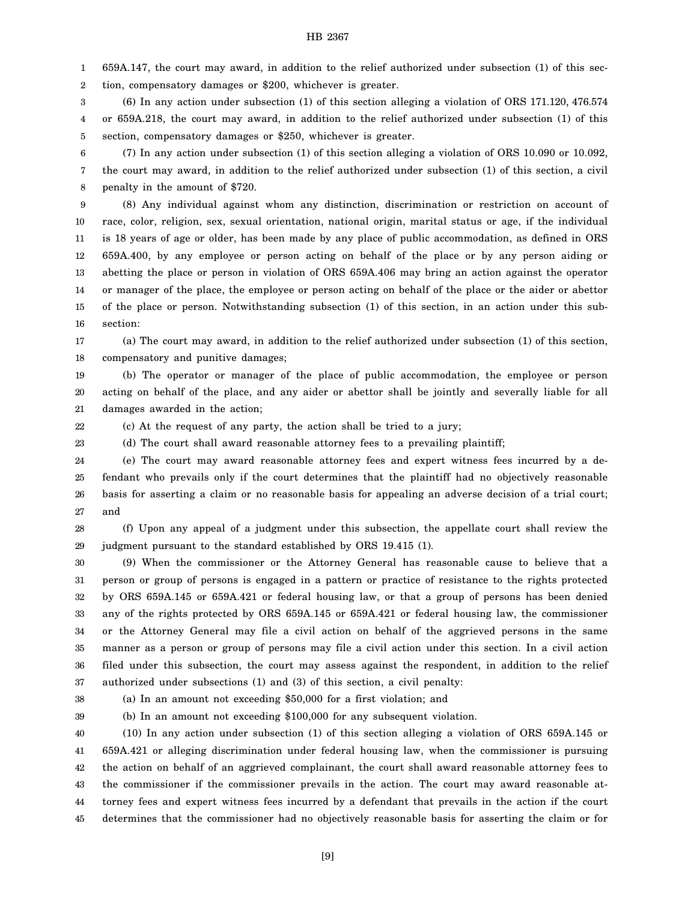1 2 659A.147, the court may award, in addition to the relief authorized under subsection (1) of this section, compensatory damages or \$200, whichever is greater.

3 4 5 (6) In any action under subsection (1) of this section alleging a violation of ORS 171.120, 476.574 or 659A.218, the court may award, in addition to the relief authorized under subsection (1) of this section, compensatory damages or \$250, whichever is greater.

6 7 8 (7) In any action under subsection (1) of this section alleging a violation of ORS 10.090 or 10.092, the court may award, in addition to the relief authorized under subsection (1) of this section, a civil penalty in the amount of \$720.

9 10 11 12 13 14 15 16 (8) Any individual against whom any distinction, discrimination or restriction on account of race, color, religion, sex, sexual orientation, national origin, marital status or age, if the individual is 18 years of age or older, has been made by any place of public accommodation, as defined in ORS 659A.400, by any employee or person acting on behalf of the place or by any person aiding or abetting the place or person in violation of ORS 659A.406 may bring an action against the operator or manager of the place, the employee or person acting on behalf of the place or the aider or abettor of the place or person. Notwithstanding subsection (1) of this section, in an action under this subsection:

17 18 (a) The court may award, in addition to the relief authorized under subsection (1) of this section, compensatory and punitive damages;

19 20 21 (b) The operator or manager of the place of public accommodation, the employee or person acting on behalf of the place, and any aider or abettor shall be jointly and severally liable for all damages awarded in the action;

22

23

(c) At the request of any party, the action shall be tried to a jury;

(d) The court shall award reasonable attorney fees to a prevailing plaintiff;

24 25 26 27 (e) The court may award reasonable attorney fees and expert witness fees incurred by a defendant who prevails only if the court determines that the plaintiff had no objectively reasonable basis for asserting a claim or no reasonable basis for appealing an adverse decision of a trial court; and

28 29 (f) Upon any appeal of a judgment under this subsection, the appellate court shall review the judgment pursuant to the standard established by ORS 19.415 (1).

30 31 32 33 34 35 36 37 (9) When the commissioner or the Attorney General has reasonable cause to believe that a person or group of persons is engaged in a pattern or practice of resistance to the rights protected by ORS 659A.145 or 659A.421 or federal housing law, or that a group of persons has been denied any of the rights protected by ORS 659A.145 or 659A.421 or federal housing law, the commissioner or the Attorney General may file a civil action on behalf of the aggrieved persons in the same manner as a person or group of persons may file a civil action under this section. In a civil action filed under this subsection, the court may assess against the respondent, in addition to the relief authorized under subsections (1) and (3) of this section, a civil penalty:

38

(a) In an amount not exceeding \$50,000 for a first violation; and

39

(b) In an amount not exceeding \$100,000 for any subsequent violation.

40 41 42 43 44 45 (10) In any action under subsection (1) of this section alleging a violation of ORS 659A.145 or 659A.421 or alleging discrimination under federal housing law, when the commissioner is pursuing the action on behalf of an aggrieved complainant, the court shall award reasonable attorney fees to the commissioner if the commissioner prevails in the action. The court may award reasonable attorney fees and expert witness fees incurred by a defendant that prevails in the action if the court determines that the commissioner had no objectively reasonable basis for asserting the claim or for